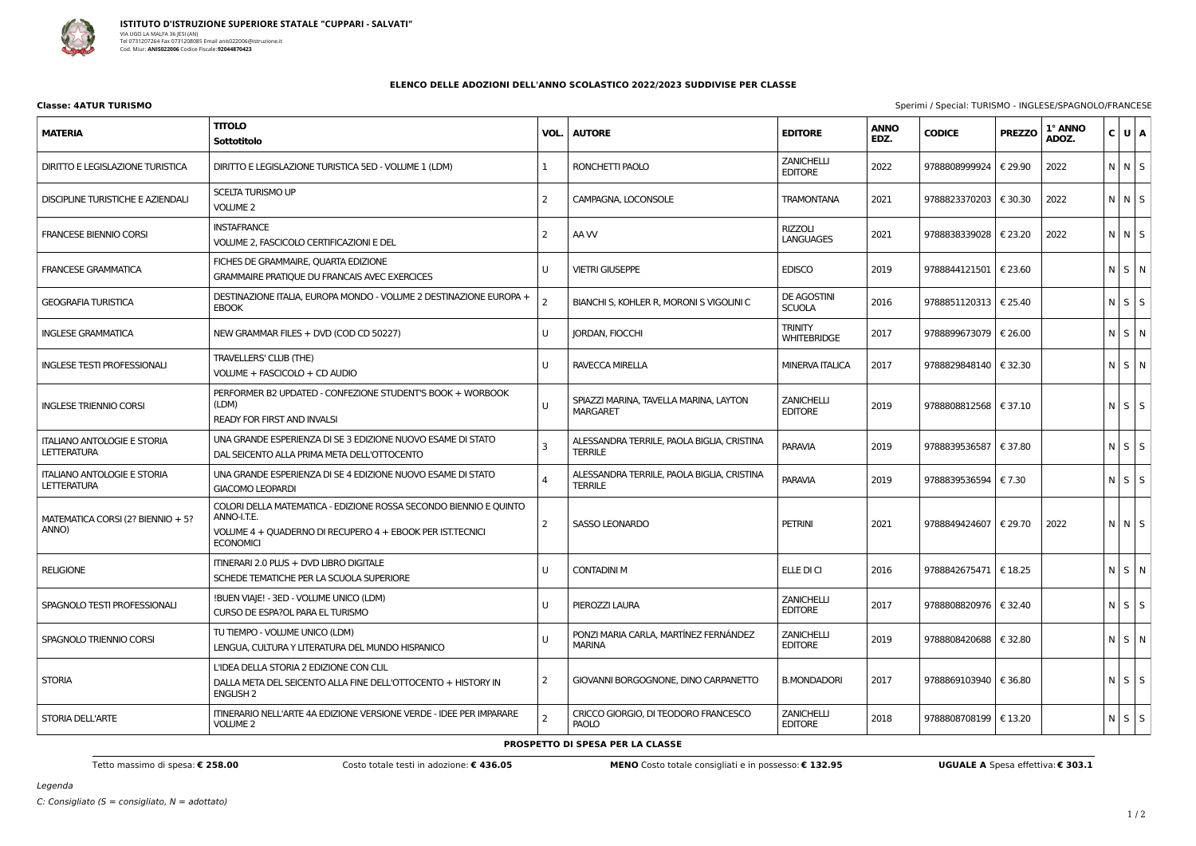

| Classe: 4ATUR TURISMO | Sperimi / Special: TURISMO - INGLESE/SPAGNOLO/FRANCESE |
|-----------------------|--------------------------------------------------------|
|                       |                                                        |

## **ELENCO DELLE ADOZIONI DELL'ANNO SCOLASTICO 2022/2023 SUDDIVISE PER CLASSE**

| <b>MATERIA</b>                                           | <b>TITOLO</b><br>Sottotitolo                                                                                                                                      | VOL.           | <b>AUTORE</b>                                                | <b>EDITORE</b>                       | <b>ANNO</b><br>EDZ. | <b>CODICE</b>           | <b>PREZZO</b> | 1° ANNO<br>ADOZ. | C U A       |  |
|----------------------------------------------------------|-------------------------------------------------------------------------------------------------------------------------------------------------------------------|----------------|--------------------------------------------------------------|--------------------------------------|---------------------|-------------------------|---------------|------------------|-------------|--|
| DIRITTO E LEGISLAZIONE TURISTICA                         | DIRITTO E LEGISLAZIONE TURISTICA 5ED - VOLUME 1 (LDM)                                                                                                             | 1              | RONCHETTI PAOLO                                              | ZANICHELLI<br><b>EDITORE</b>         | 2022                | 9788808999924           | € 29.90       | 2022             | N N S       |  |
| DISCIPLINE TURISTICHE E AZIENDALI                        | <b>SCELTA TURISMO UP</b><br><b>VOLUME 2</b>                                                                                                                       | $\overline{2}$ | CAMPAGNA, LOCONSOLE                                          | <b>TRAMONTANA</b>                    | 2021                | 9788823370203           | € 30.30       | 2022             | N N S       |  |
| <b>FRANCESE BIENNIO CORSI</b>                            | <b>INSTAFRANCE</b><br>VOLUME 2, FASCICOLO CERTIFICAZIONI E DEL                                                                                                    | $\overline{2}$ | AA W                                                         | <b>RIZZOLI</b><br><b>LANGUAGES</b>   | 2021                | 9788838339028           | € 23.20       | 2022             | N N S       |  |
| <b>FRANCESE GRAMMATICA</b>                               | FICHES DE GRAMMAIRE, QUARTA EDIZIONE<br><b>GRAMMAIRE PRATIQUE DU FRANCAIS AVEC EXERCICES</b>                                                                      | U              | <b>VIETRI GIUSEPPE</b>                                       | <b>EDISCO</b>                        | 2019                | 9788844121501   € 23.60 |               |                  | NSN         |  |
| <b>GEOGRAFIA TURISTICA</b>                               | DESTINAZIONE ITALIA, EUROPA MONDO - VOLUME 2 DESTINAZIONE EUROPA +<br><b>EBOOK</b>                                                                                | $\overline{2}$ | BIANCHI S, KOHLER R, MORONI S VIGOLINI C                     | <b>DE AGOSTINI</b><br><b>SCUOLA</b>  | 2016                | 9788851120313   € 25.40 |               |                  | $N$ $S$ $S$ |  |
| <b>INGLESE GRAMMATICA</b>                                | NEW GRAMMAR FILES + DVD (COD CD 50227)                                                                                                                            | U              | <b>JORDAN, FIOCCHI</b>                                       | <b>TRINITY</b><br><b>WHITEBRIDGE</b> | 2017                | 9788899673079   € 26.00 |               |                  | N S N       |  |
| <b>INGLESE TESTI PROFESSIONALI</b>                       | TRAVELLERS' CLUB (THE)<br>VOLUME + FASCICOLO + CD AUDIO                                                                                                           | U              | RAVECCA MIRELLA                                              | <b>MINERVA ITALICA</b>               | 2017                | 9788829848140   € 32.30 |               |                  | $N$ $S$ $N$ |  |
| <b>INGLESE TRIENNIO CORSI</b>                            | PERFORMER B2 UPDATED - CONFEZIONE STUDENT'S BOOK + WORBOOK<br>(LDM)<br>READY FOR FIRST AND INVALSI                                                                | U              | SPIAZZI MARINA, TAVELLA MARINA, LAYTON<br><b>MARGARET</b>    | <b>ZANICHELLI</b><br><b>EDITORE</b>  | 2019                | 9788808812568   € 37.10 |               |                  | $N$ $S$ $S$ |  |
| <b>ITALIANO ANTOLOGIE E STORIA</b><br><b>LETTERATURA</b> | UNA GRANDE ESPERIENZA DI SE 3 EDIZIONE NUOVO ESAME DI STATO<br>DAL SEICENTO ALLA PRIMA META DELL'OTTOCENTO                                                        | $\overline{3}$ | ALESSANDRA TERRILE, PAOLA BIGLIA, CRISTINA<br><b>TERRILE</b> | <b>PARAVIA</b>                       | 2019                | 9788839536587   € 37.80 |               |                  | $N$ $S$ $S$ |  |
| <b>ITALIANO ANTOLOGIE E STORIA</b><br><b>LETTERATURA</b> | UNA GRANDE ESPERIENZA DI SE 4 EDIZIONE NUOVO ESAME DI STATO<br><b>GIACOMO LEOPARDI</b>                                                                            | $\overline{A}$ | ALESSANDRA TERRILE, PAOLA BIGLIA, CRISTINA<br><b>TERRILE</b> | <b>PARAVIA</b>                       | 2019                | 9788839536594   € 7.30  |               |                  | $N$ $S$ $S$ |  |
| MATEMATICA CORSI (2? BIENNIO + 5?<br>ANNO)               | COLORI DELLA MATEMATICA - EDIZIONE ROSSA SECONDO BIENNIO E QUINTO<br>ANNO-I.T.E.<br>VOLUME 4 + QUADERNO DI RECUPERO 4 + EBOOK PER IST.TECNICI<br><b>ECONOMICI</b> | $\overline{2}$ | <b>SASSO LEONARDO</b>                                        | <b>PETRINI</b>                       | 2021                | 9788849424607   € 29.70 |               | 2022             | N N S       |  |
| <b>RELIGIONE</b>                                         | ITINERARI 2.0 PLUS + DVD LIBRO DIGITALE<br>SCHEDE TEMATICHE PER LA SCUOLA SUPERIORE                                                                               | U              | <b>CONTADINI M</b>                                           | ELLE DI CI                           | 2016                | 9788842675471   € 18.25 |               |                  | $N$ $S$ $N$ |  |
| SPAGNOLO TESTI PROFESSIONALI                             | !BUEN VIAJE! - 3ED - VOLUME UNICO (LDM)<br>CURSO DE ESPA?OL PARA EL TURISMO                                                                                       | U              | PIEROZZI LAURA                                               | <b>ZANICHELLI</b><br><b>EDITORE</b>  | 2017                | 9788808820976   € 32.40 |               |                  | $N$ $S$ $S$ |  |
| SPAGNOLO TRIENNIO CORSI                                  | TU TIEMPO - VOLUME UNICO (LDM)<br>LENGUA, CULTURA Y LITERATURA DEL MUNDO HISPANICO                                                                                | U              | PONZI MARIA CARLA, MARTÍNEZ FERNÁNDEZ<br><b>MARINA</b>       | ZANICHELLI<br><b>EDITORE</b>         | 2019                | 9788808420688   € 32.80 |               |                  | $N$ $S$ $N$ |  |
| <b>STORIA</b>                                            | L'IDEA DELLA STORIA 2 EDIZIONE CON CLIL<br>DALLA META DEL SEICENTO ALLA FINE DELL'OTTOCENTO + HISTORY IN<br>ENGLISH 2                                             | 2              | GIOVANNI BORGOGNONE, DINO CARPANETTO                         | <b>B.MONDADORI</b>                   | 2017                | 9788869103940   € 36.80 |               |                  | $N$ $S$ $S$ |  |
| STORIA DELL'ARTE                                         | ITINERARIO NELL'ARTE 4A EDIZIONE VERSIONE VERDE - IDEE PER IMPARARE<br><b>VOLUME 2</b>                                                                            |                | CRICCO GIORGIO, DI TEODORO FRANCESCO<br><b>PAOLO</b>         | <b>ZANICHELLI</b><br><b>EDITORE</b>  | 2018                | 9788808708199   € 13.20 |               |                  | $N$ $S$ $S$ |  |

**PROSPETTO DI SPESA PER LA CLASSE**